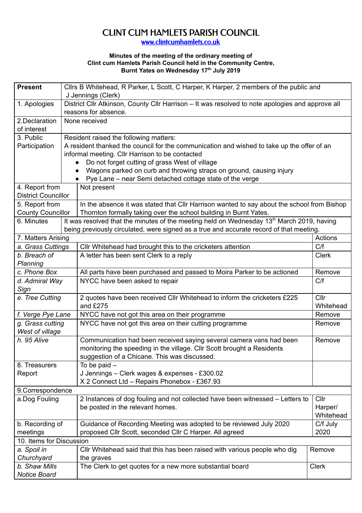## CLINT CUM HAMLETS PARISH COUNCIL

[www.clintcumhamlets.co.uk](http://www.clintcumhamlets.co.uk/)

## **Minutes of the meeting of the ordinary meeting of Clint cum Hamlets Parish Council held in the Community Centre, Burnt Yates on Wednesday 17 th July 2019**

| <b>Present</b>                                                                                                             |                                                                                                       | Cllrs B Whitehead, R Parker, L Scott, C Harper, K Harper, 2 members of the public and                                           |                      |  |  |  |
|----------------------------------------------------------------------------------------------------------------------------|-------------------------------------------------------------------------------------------------------|---------------------------------------------------------------------------------------------------------------------------------|----------------------|--|--|--|
|                                                                                                                            |                                                                                                       | J Jennings (Clerk)                                                                                                              |                      |  |  |  |
| 1. Apologies                                                                                                               |                                                                                                       | District Cllr Atkinson, County Cllr Harrison - It was resolved to note apologies and approve all                                |                      |  |  |  |
|                                                                                                                            |                                                                                                       | reasons for absence.                                                                                                            |                      |  |  |  |
| 2.Declaration                                                                                                              |                                                                                                       | None received                                                                                                                   |                      |  |  |  |
| of interest                                                                                                                |                                                                                                       |                                                                                                                                 |                      |  |  |  |
| 3. Public                                                                                                                  |                                                                                                       | Resident raised the following matters:                                                                                          |                      |  |  |  |
| Participation                                                                                                              |                                                                                                       | A resident thanked the council for the communication and wished to take up the offer of an                                      |                      |  |  |  |
|                                                                                                                            |                                                                                                       | informal meeting. Cllr Harrison to be contacted                                                                                 |                      |  |  |  |
|                                                                                                                            |                                                                                                       | Do not forget cutting of grass West of village                                                                                  |                      |  |  |  |
|                                                                                                                            |                                                                                                       | Wagons parked on curb and throwing straps on ground, causing injury<br>Pye Lane – near Semi detached cottage state of the verge |                      |  |  |  |
| 4. Report from                                                                                                             |                                                                                                       | Not present                                                                                                                     |                      |  |  |  |
| <b>District Councillor</b>                                                                                                 |                                                                                                       |                                                                                                                                 |                      |  |  |  |
| 5. Report from                                                                                                             |                                                                                                       | In the absence it was stated that CIIr Harrison wanted to say about the school from Bishop                                      |                      |  |  |  |
|                                                                                                                            | Thornton formally taking over the school building in Burnt Yates.<br><b>County Councillor</b>         |                                                                                                                                 |                      |  |  |  |
| 6. Minutes                                                                                                                 | It was resolved that the minutes of the meeting held on Wednesday 13 <sup>th</sup> March 2019, having |                                                                                                                                 |                      |  |  |  |
|                                                                                                                            |                                                                                                       | being previously circulated, were signed as a true and accurate record of that meeting.                                         |                      |  |  |  |
| 7. Matters Arising                                                                                                         |                                                                                                       |                                                                                                                                 |                      |  |  |  |
| a. Grass Cuttings                                                                                                          |                                                                                                       | Cllr Whitehead had brought this to the cricketers attention                                                                     | C/f                  |  |  |  |
| b. Breach of                                                                                                               |                                                                                                       | A letter has been sent Clerk to a reply                                                                                         | <b>Clerk</b>         |  |  |  |
| Planning                                                                                                                   |                                                                                                       |                                                                                                                                 |                      |  |  |  |
| c. Phone Box                                                                                                               |                                                                                                       | All parts have been purchased and passed to Moira Parker to be actioned                                                         | Remove               |  |  |  |
| d. Admiral Way                                                                                                             |                                                                                                       | NYCC have been asked to repair                                                                                                  | C/f                  |  |  |  |
| Sign                                                                                                                       |                                                                                                       |                                                                                                                                 | Cllr                 |  |  |  |
| e. Tree Cutting                                                                                                            |                                                                                                       | 2 quotes have been received Cllr Whitehead to inform the cricketers £225                                                        |                      |  |  |  |
|                                                                                                                            |                                                                                                       | and £275                                                                                                                        | Whitehead<br>Remove  |  |  |  |
| f. Verge Pye Lane                                                                                                          |                                                                                                       | NYCC have not got this area on their programme                                                                                  |                      |  |  |  |
| g. Grass cutting                                                                                                           |                                                                                                       | NYCC have not got this area on their cutting programme                                                                          | Remove               |  |  |  |
| West of village                                                                                                            |                                                                                                       |                                                                                                                                 | Remove               |  |  |  |
| h. 95 Alive                                                                                                                |                                                                                                       | Communication had been received saying several camera vans had been                                                             |                      |  |  |  |
|                                                                                                                            |                                                                                                       | monitoring the speeding in the village. Cllr Scott brought a Residents                                                          |                      |  |  |  |
|                                                                                                                            |                                                                                                       | suggestion of a Chicane. This was discussed.                                                                                    |                      |  |  |  |
| 8. Treasurers                                                                                                              |                                                                                                       | To be paid $-$                                                                                                                  |                      |  |  |  |
| Report                                                                                                                     |                                                                                                       | J Jennings - Clerk wages & expenses - £300.02<br>X 2 Connect Ltd - Repairs Phonebox - £367.93                                   |                      |  |  |  |
|                                                                                                                            |                                                                                                       |                                                                                                                                 |                      |  |  |  |
| 9.Correspondence<br>a.Dog Fouling<br>2 Instances of dog fouling and not collected have been witnessed - Letters to<br>Cllr |                                                                                                       |                                                                                                                                 |                      |  |  |  |
|                                                                                                                            |                                                                                                       | be posted in the relevant homes.                                                                                                |                      |  |  |  |
|                                                                                                                            |                                                                                                       |                                                                                                                                 | Harper/<br>Whitehead |  |  |  |
| b. Recording of                                                                                                            |                                                                                                       | Guidance of Recording Meeting was adopted to be reviewed July 2020                                                              |                      |  |  |  |
| meetings                                                                                                                   |                                                                                                       | proposed Cllr Scott, seconded Cllr C Harper. All agreed                                                                         |                      |  |  |  |
| 2020<br>10. Items for Discussion                                                                                           |                                                                                                       |                                                                                                                                 |                      |  |  |  |
| a. Spoil in<br>CIIr Whitehead said that this has been raised with various people who dig<br>Remove                         |                                                                                                       |                                                                                                                                 |                      |  |  |  |
| Churchyard                                                                                                                 |                                                                                                       | the graves                                                                                                                      |                      |  |  |  |
| b. Shaw Mills                                                                                                              |                                                                                                       | The Clerk to get quotes for a new more substantial board                                                                        | <b>Clerk</b>         |  |  |  |
| Notice Board                                                                                                               |                                                                                                       |                                                                                                                                 |                      |  |  |  |